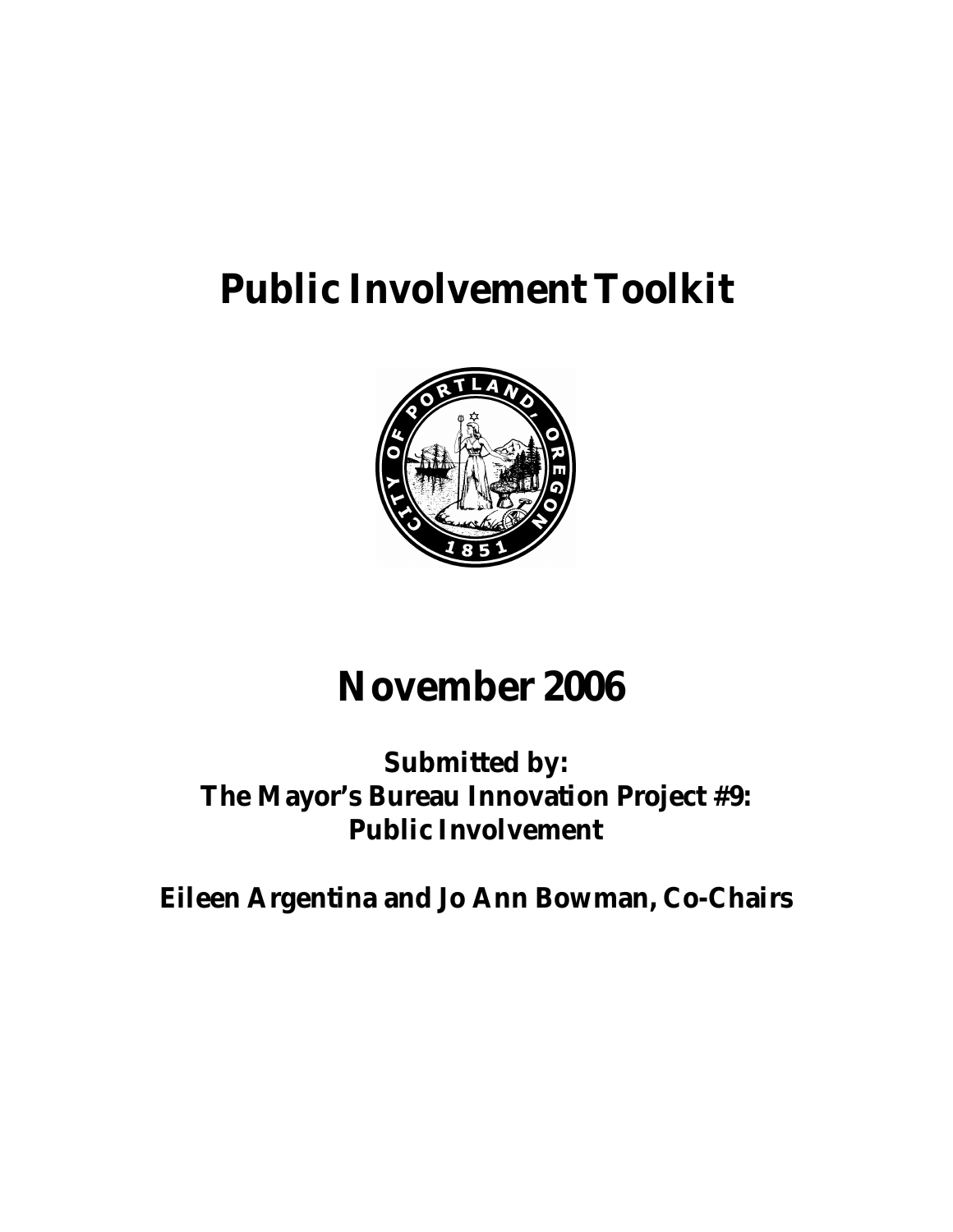# **Public Involvement Toolkit**



## **November 2006**

### **Submitted by: The Mayor's Bureau Innovation Project #9: Public Involvement**

**Eileen Argentina and Jo Ann Bowman, Co-Chairs**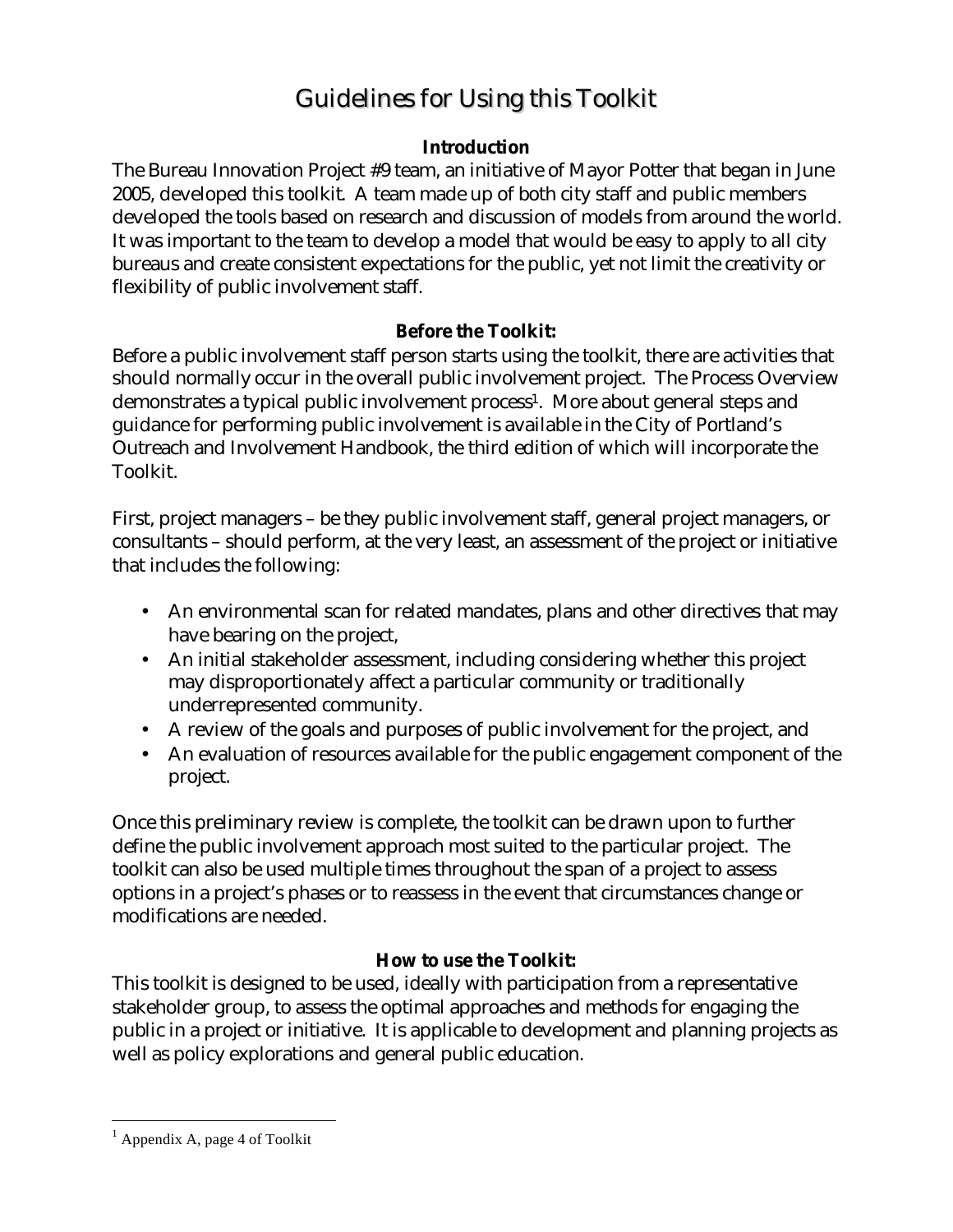### Guidelines for Using this Toolkit

#### **Introduction**

The Bureau Innovation Project #9 team, an initiative of Mayor Potter that began in June 2005, developed this toolkit. A team made up of both city staff and public members developed the tools based on research and discussion of models from around the world. It was important to the team to develop a model that would be easy to apply to all city bureaus and create consistent expectations for the public, yet not limit the creativity or flexibility of public involvement staff.

#### **Before the Toolkit:**

Before a public involvement staff person starts using the toolkit, there are activities that should normally occur in the overall public involvement project. The Process Overview demonstrates a typical public involvement process<sup>1</sup>. More about general steps and guidance for performing public involvement is available in the City of Portland's Outreach and Involvement Handbook, the third edition of which will incorporate the Toolkit.

First, project managers – be they public involvement staff, general project managers, or consultants – should perform, at the very least, an assessment of the project or initiative that includes the following:

- An environmental scan for related mandates, plans and other directives that may have bearing on the project,
- An initial stakeholder assessment, including considering whether this project may disproportionately affect a particular community or traditionally underrepresented community.
- A review of the goals and purposes of public involvement for the project, and
- An evaluation of resources available for the public engagement component of the project.

Once this preliminary review is complete, the toolkit can be drawn upon to further define the public involvement approach most suited to the particular project. The toolkit can also be used multiple times throughout the span of a project to assess options in a project's phases or to reassess in the event that circumstances change or modifications are needed.

#### **How to use the Toolkit:**

This toolkit is designed to be used, ideally with participation from a representative stakeholder group, to assess the optimal approaches and methods for engaging the public in a project or initiative. It is applicable to development and planning projects as well as policy explorations and general public education.

 $\overline{a}$ 

<sup>&</sup>lt;sup>1</sup> Appendix A, page 4 of Toolkit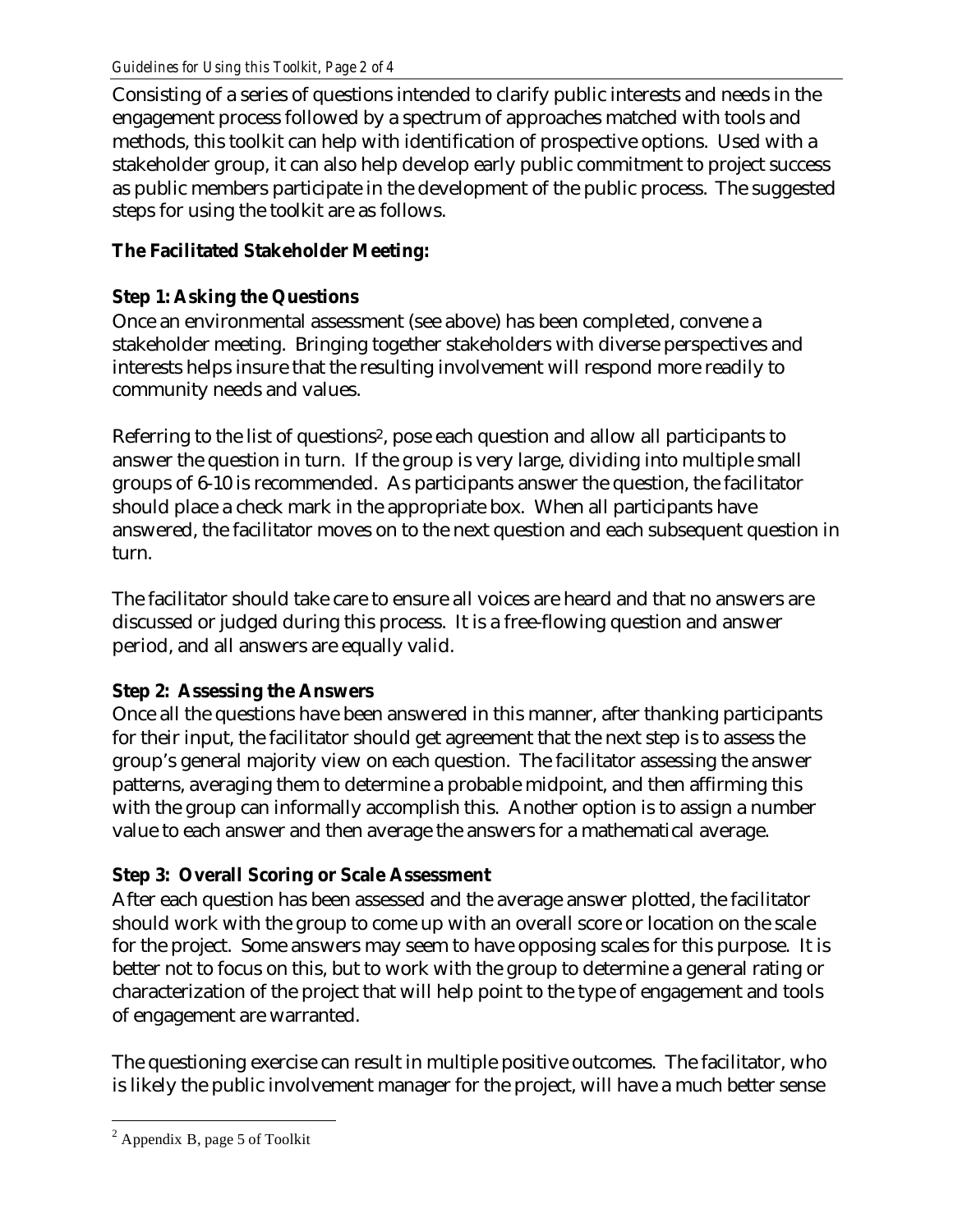Consisting of a series of questions intended to clarify public interests and needs in the engagement process followed by a spectrum of approaches matched with tools and methods, this toolkit can help with identification of prospective options. Used with a stakeholder group, it can also help develop early public commitment to project success as public members participate in the development of the public process. The suggested steps for using the toolkit are as follows.

#### **The Facilitated Stakeholder Meeting:**

#### **Step 1: Asking the Questions**

Once an environmental assessment (see above) has been completed, convene a stakeholder meeting. Bringing together stakeholders with diverse perspectives and interests helps insure that the resulting involvement will respond more readily to community needs and values.

Referring to the list of questions<sup>2</sup>, pose each question and allow all participants to answer the question in turn. If the group is very large, dividing into multiple small groups of 6-10 is recommended. As participants answer the question, the facilitator should place a check mark in the appropriate box. When all participants have answered, the facilitator moves on to the next question and each subsequent question in turn.

The facilitator should take care to ensure all voices are heard and that no answers are discussed or judged during this process. It is a free-flowing question and answer period, and all answers are equally valid.

#### **Step 2: Assessing the Answers**

Once all the questions have been answered in this manner, after thanking participants for their input, the facilitator should get agreement that the next step is to assess the group's general majority view on each question. The facilitator assessing the answer patterns, averaging them to determine a probable midpoint, and then affirming this with the group can informally accomplish this. Another option is to assign a number value to each answer and then average the answers for a mathematical average.

#### **Step 3: Overall Scoring or Scale Assessment**

After each question has been assessed and the average answer plotted, the facilitator should work with the group to come up with an overall score or location on the scale for the project. Some answers may seem to have opposing scales for this purpose. It is better not to focus on this, but to work with the group to determine a general rating or characterization of the project that will help point to the type of engagement and tools of engagement are warranted.

The questioning exercise can result in multiple positive outcomes. The facilitator, who is likely the public involvement manager for the project, will have a much better sense

 $\overline{a}$ 

 $2$  Appendix B, page 5 of Toolkit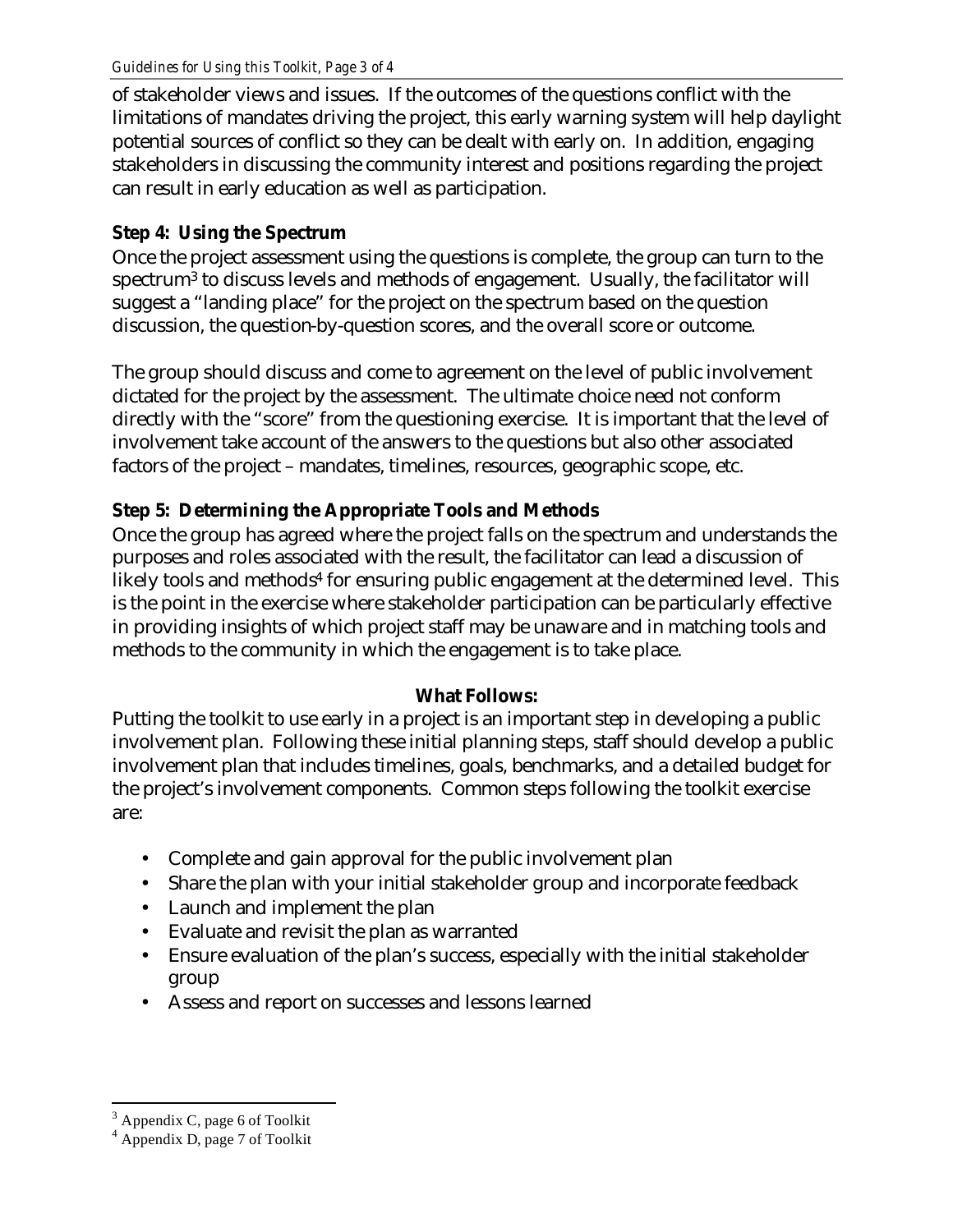of stakeholder views and issues. If the outcomes of the questions conflict with the limitations of mandates driving the project, this early warning system will help daylight potential sources of conflict so they can be dealt with early on. In addition, engaging stakeholders in discussing the community interest and positions regarding the project can result in early education as well as participation.

#### **Step 4: Using the Spectrum**

Once the project assessment using the questions is complete, the group can turn to the spectrum<sup>3</sup> to discuss levels and methods of engagement. Usually, the facilitator will suggest a "landing place" for the project on the spectrum based on the question discussion, the question-by-question scores, and the overall score or outcome.

The group should discuss and come to agreement on the level of public involvement dictated for the project by the assessment. The ultimate choice need not conform directly with the "score" from the questioning exercise. It is important that the level of involvement take account of the answers to the questions but also other associated factors of the project – mandates, timelines, resources, geographic scope, etc.

#### **Step 5: Determining the Appropriate Tools and Methods**

Once the group has agreed where the project falls on the spectrum and understands the purposes and roles associated with the result, the facilitator can lead a discussion of likely tools and methods<sup>4</sup> for ensuring public engagement at the determined level. This is the point in the exercise where stakeholder participation can be particularly effective in providing insights of which project staff may be unaware and in matching tools and methods to the community in which the engagement is to take place.

#### **What Follows:**

Putting the toolkit to use early in a project is an important step in developing a public involvement plan. Following these initial planning steps, staff should develop a public involvement plan that includes timelines, goals, benchmarks, and a detailed budget for the project's involvement components. Common steps following the toolkit exercise are:

- Complete and gain approval for the public involvement plan
- Share the plan with your initial stakeholder group and incorporate feedback
- Launch and implement the plan
- Evaluate and revisit the plan as warranted
- Ensure evaluation of the plan's success, especially with the initial stakeholder group
- Assess and report on successes and lessons learned

 $\overline{a}$ 

 $3$  Appendix C, page 6 of Toolkit

<sup>4</sup> Appendix D, page 7 of Toolkit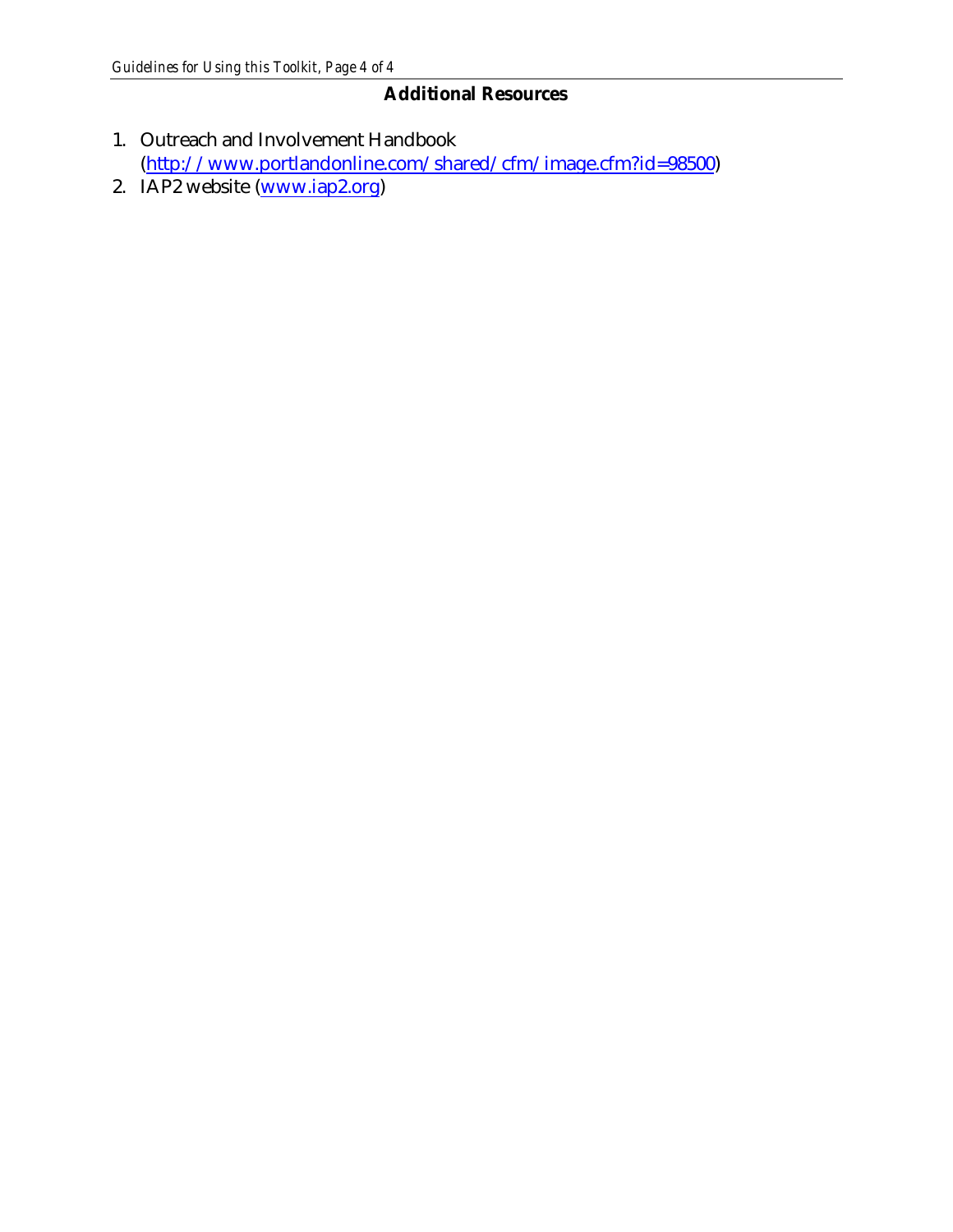#### **Additional Resources**

- 1. Outreach and Involvement Handbook (http://www.portlandonline.com/shared/cfm/image.cfm?id=98500)
- 2. IAP2 website (www.iap2.org)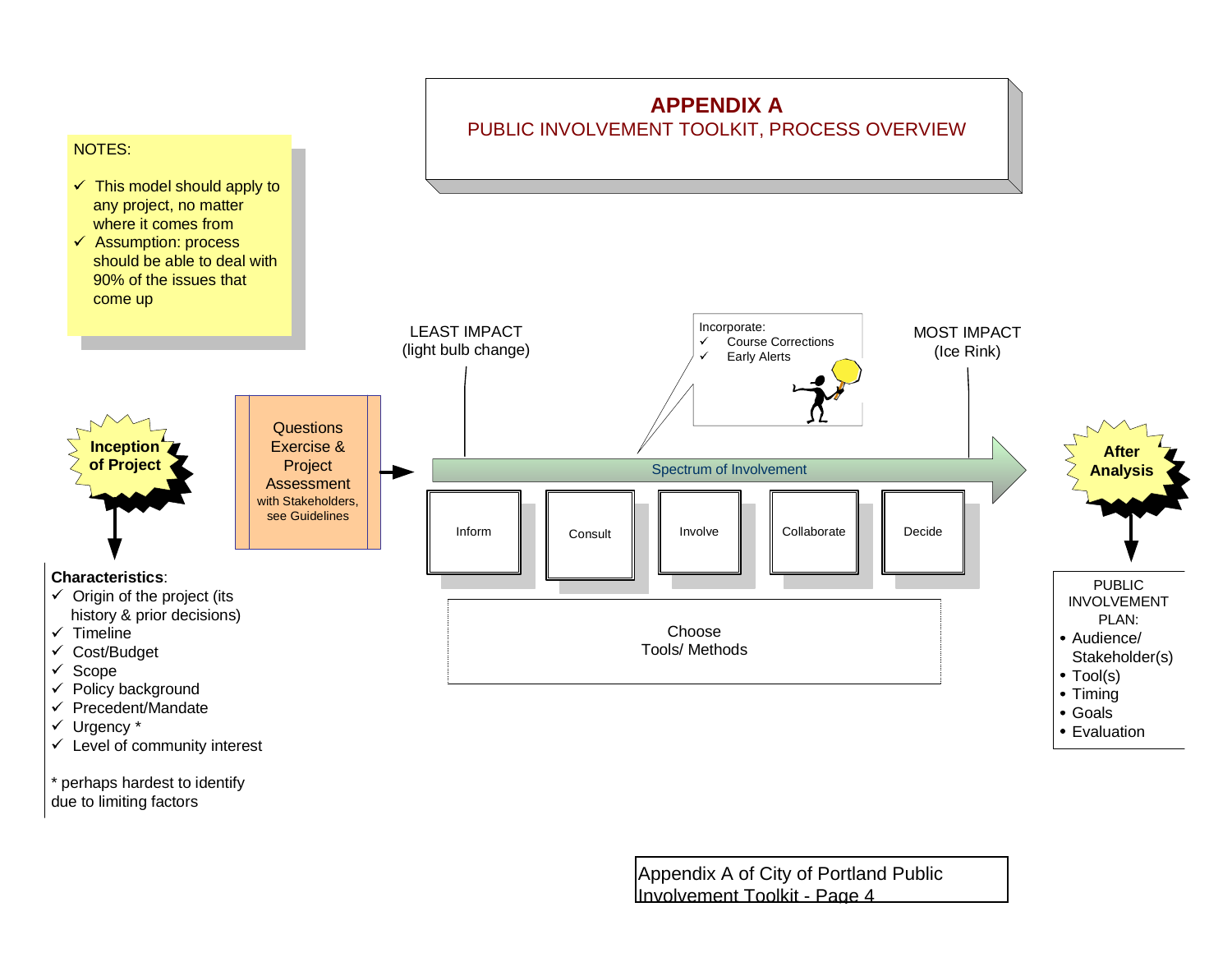

\* perhaps hardest to identify due to limiting factors

> Appendix A of City of Portland Public Involvement Toolkit - Page 4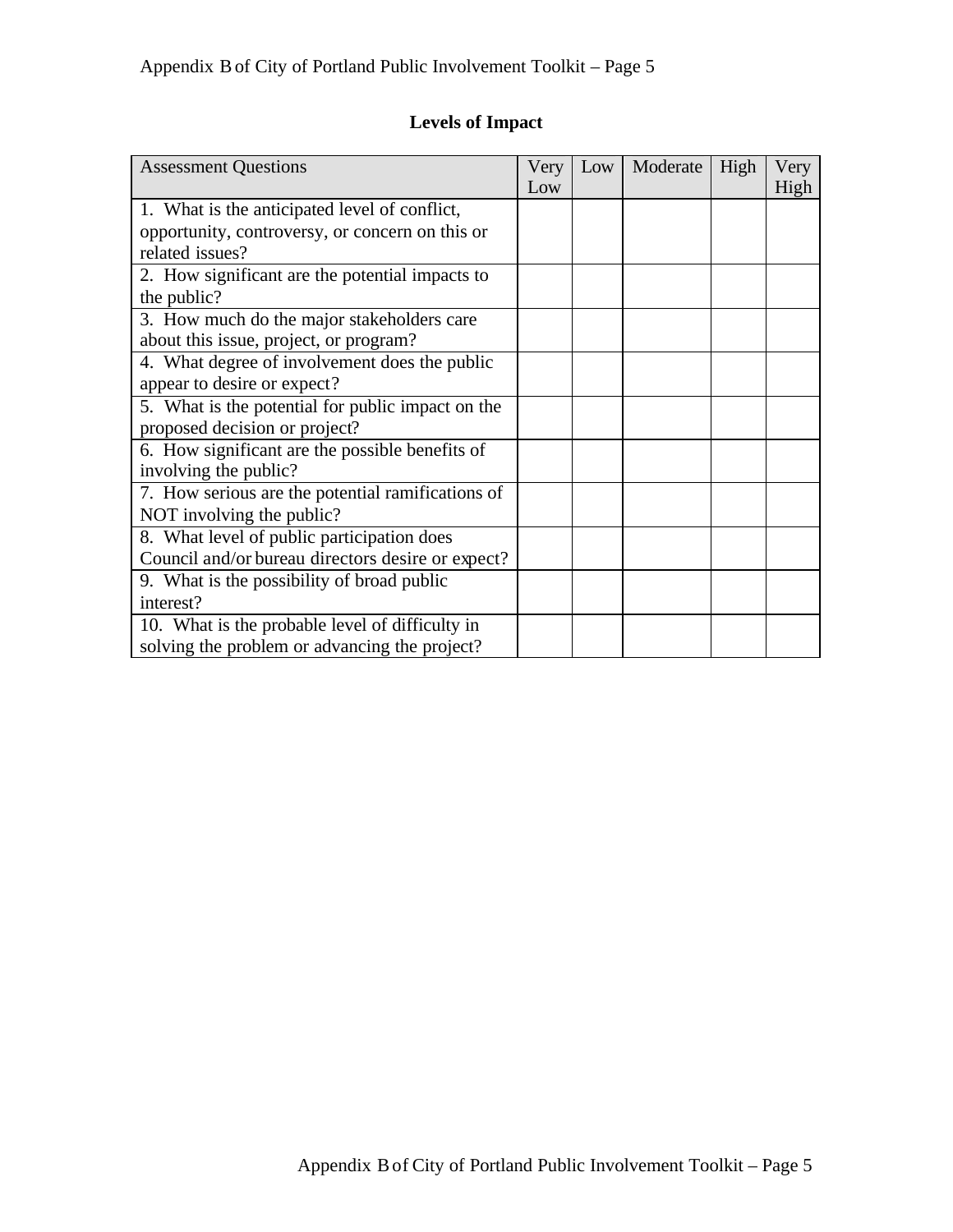#### **Levels of Impact**

| <b>Assessment Questions</b>                       | Very | Low | Moderate | High | Very |
|---------------------------------------------------|------|-----|----------|------|------|
|                                                   | Low  |     |          |      | High |
| 1. What is the anticipated level of conflict,     |      |     |          |      |      |
| opportunity, controversy, or concern on this or   |      |     |          |      |      |
| related issues?                                   |      |     |          |      |      |
| 2. How significant are the potential impacts to   |      |     |          |      |      |
| the public?                                       |      |     |          |      |      |
| 3. How much do the major stakeholders care        |      |     |          |      |      |
| about this issue, project, or program?            |      |     |          |      |      |
| 4. What degree of involvement does the public     |      |     |          |      |      |
| appear to desire or expect?                       |      |     |          |      |      |
| 5. What is the potential for public impact on the |      |     |          |      |      |
| proposed decision or project?                     |      |     |          |      |      |
| 6. How significant are the possible benefits of   |      |     |          |      |      |
| involving the public?                             |      |     |          |      |      |
| 7. How serious are the potential ramifications of |      |     |          |      |      |
| NOT involving the public?                         |      |     |          |      |      |
| 8. What level of public participation does        |      |     |          |      |      |
| Council and/or bureau directors desire or expect? |      |     |          |      |      |
| 9. What is the possibility of broad public        |      |     |          |      |      |
| interest?                                         |      |     |          |      |      |
| 10. What is the probable level of difficulty in   |      |     |          |      |      |
| solving the problem or advancing the project?     |      |     |          |      |      |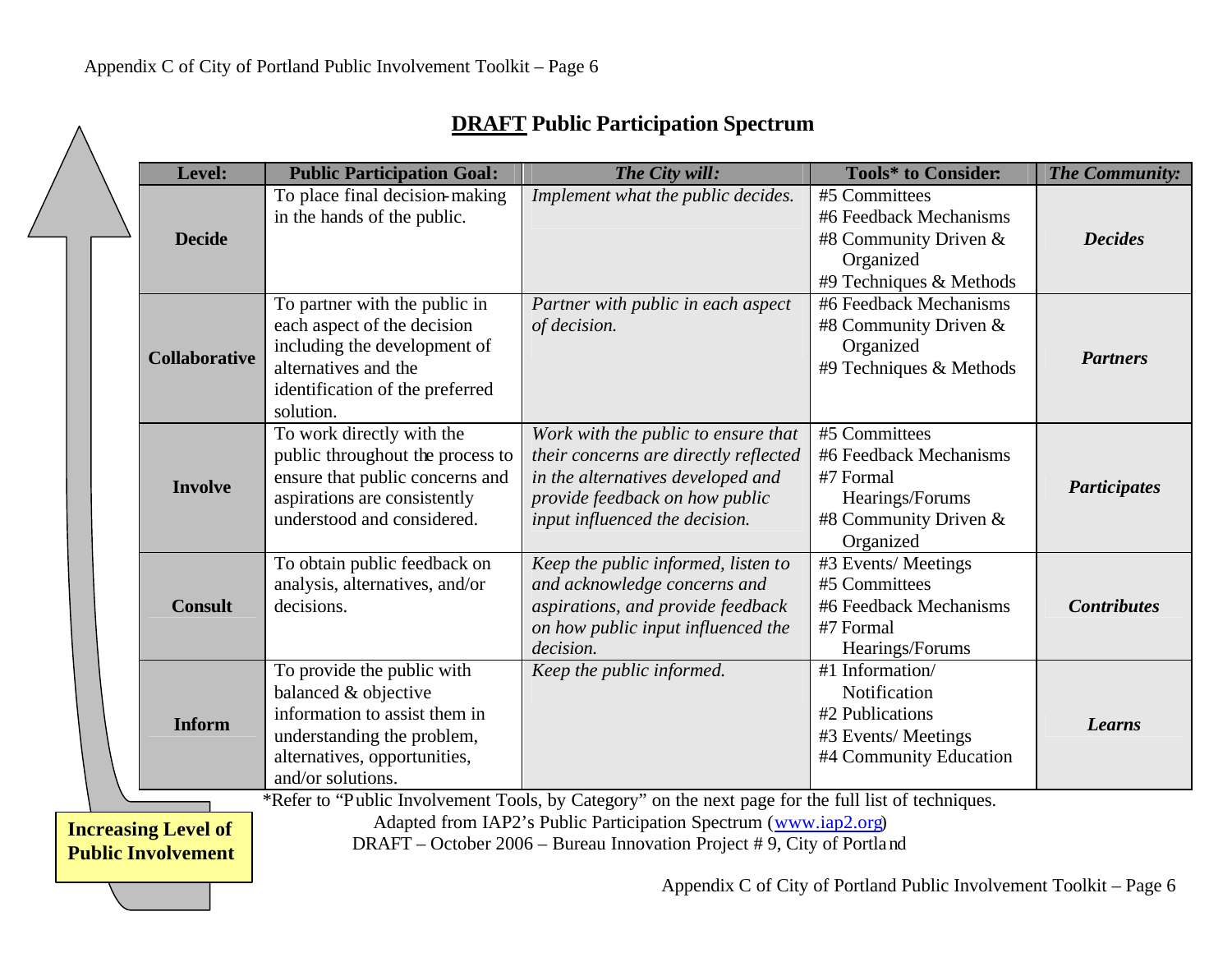| <b>DRAFT</b> Public Participation Spectrum |  |  |
|--------------------------------------------|--|--|
|--------------------------------------------|--|--|

|  | Level:                                                                                                                                                                                                                                                                                                      |                      | <b>Public Participation Goal:</b>                                                                                                                                      | The City will:                                                                                                                                                                        | <b>Tools*</b> to Consider:                                                                                    | The Community:      |
|--|-------------------------------------------------------------------------------------------------------------------------------------------------------------------------------------------------------------------------------------------------------------------------------------------------------------|----------------------|------------------------------------------------------------------------------------------------------------------------------------------------------------------------|---------------------------------------------------------------------------------------------------------------------------------------------------------------------------------------|---------------------------------------------------------------------------------------------------------------|---------------------|
|  |                                                                                                                                                                                                                                                                                                             | <b>Decide</b>        | To place final decision-making<br>in the hands of the public.                                                                                                          | Implement what the public decides.                                                                                                                                                    | #5 Committees<br>#6 Feedback Mechanisms<br>#8 Community Driven $&$<br>Organized<br>#9 Techniques & Methods    | <b>Decides</b>      |
|  |                                                                                                                                                                                                                                                                                                             | <b>Collaborative</b> | To partner with the public in<br>each aspect of the decision<br>including the development of<br>alternatives and the<br>identification of the preferred<br>solution.   | Partner with public in each aspect<br>of decision.                                                                                                                                    | #6 Feedback Mechanisms<br>#8 Community Driven $&$<br>Organized<br>#9 Techniques & Methods                     | <b>Partners</b>     |
|  |                                                                                                                                                                                                                                                                                                             | <b>Involve</b>       | To work directly with the<br>public throughout the process to<br>ensure that public concerns and<br>aspirations are consistently<br>understood and considered.         | Work with the public to ensure that<br>their concerns are directly reflected<br>in the alternatives developed and<br>provide feedback on how public<br>input influenced the decision. | #5 Committees<br>#6 Feedback Mechanisms<br>#7 Formal<br>Hearings/Forums<br>#8 Community Driven &<br>Organized | <b>Participates</b> |
|  |                                                                                                                                                                                                                                                                                                             | <b>Consult</b>       | To obtain public feedback on<br>analysis, alternatives, and/or<br>decisions.                                                                                           | Keep the public informed, listen to<br>and acknowledge concerns and<br>aspirations, and provide feedback<br>on how public input influenced the<br>decision.                           | #3 Events/Meetings<br>#5 Committees<br>#6 Feedback Mechanisms<br>#7 Formal<br>Hearings/Forums                 | <b>Contributes</b>  |
|  |                                                                                                                                                                                                                                                                                                             | <b>Inform</b>        | To provide the public with<br>balanced & objective<br>information to assist them in<br>understanding the problem,<br>alternatives, opportunities,<br>and/or solutions. | Keep the public informed.                                                                                                                                                             | #1 Information/<br>Notification<br>#2 Publications<br>#3 Events/Meetings<br>#4 Community Education            | <b>Learns</b>       |
|  | *Refer to "Public Involvement Tools, by Category" on the next page for the full list of techniques.<br>Adapted from IAP2's Public Participation Spectrum (www.iap2.org)<br><b>Increasing Level of</b><br>DRAFT - October 2006 - Bureau Innovation Project #9, City of Portland<br><b>Public Involvement</b> |                      |                                                                                                                                                                        |                                                                                                                                                                                       |                                                                                                               |                     |